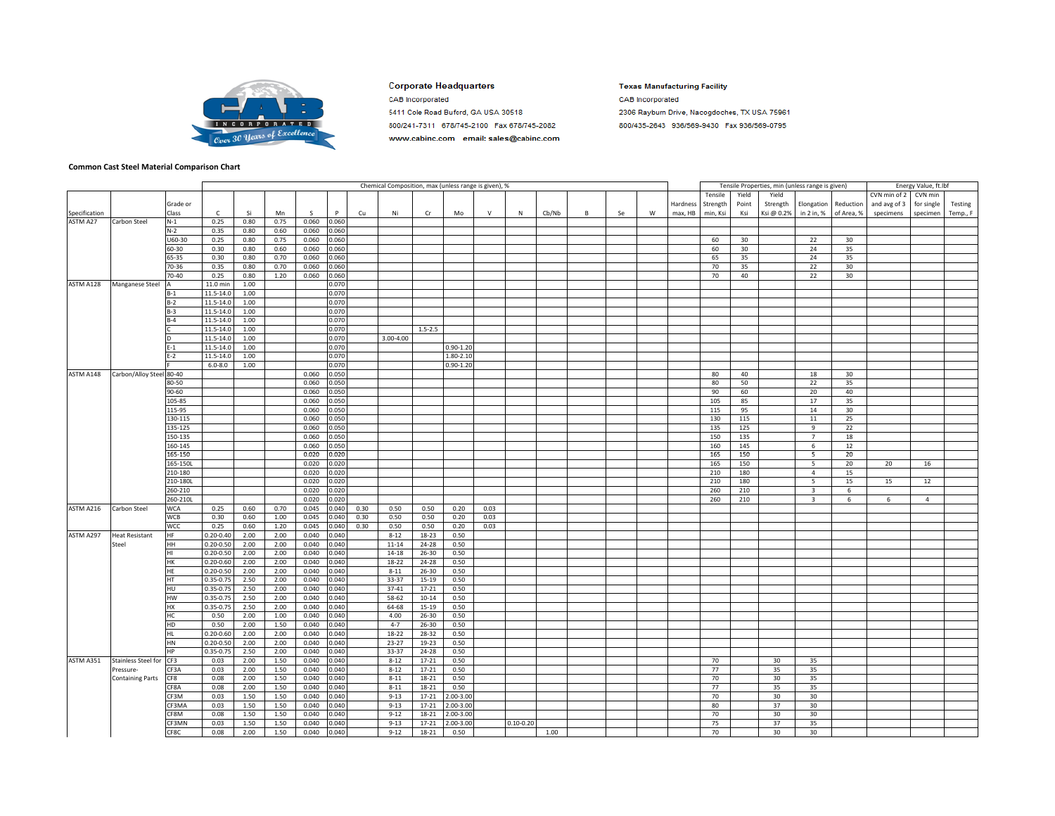

## **Corporate Headquarters**

5411 Cole Road Buford, GA USA 30518

800/241-7311 678/745-2100 Fax 678/745-2082

www.cabinc.com email: sales@cabinc.com

**CAB** Incorporated

**Texas Manufacturing Facility** 

**CAB** Incorporated 2306 Rayburn Drive, Nacogdoches, TX USA 75961 800/435-2643 936/569-9430 Fax 936/569-0795

**Common Cast Steel Material Comparison Chart**

|               |                            |            |               |      |      |       |       |      | Chemical Composition, max (unless range is given), % |             |               |        |               |       |   |    |   |          |          |       | Tensile Properties, min (unless range is given) |                         |            |              | Energy Value, ft.lbf |          |
|---------------|----------------------------|------------|---------------|------|------|-------|-------|------|------------------------------------------------------|-------------|---------------|--------|---------------|-------|---|----|---|----------|----------|-------|-------------------------------------------------|-------------------------|------------|--------------|----------------------|----------|
|               |                            |            |               |      |      |       |       |      |                                                      |             |               |        |               |       |   |    |   |          | Tensile  | Yield | Yield                                           |                         |            | CVN min of 2 | CVN min              |          |
|               |                            | Grade or   |               |      |      |       |       |      |                                                      |             |               |        |               |       |   |    |   | Hardness | Strength | Point | Strength                                        | Elongation              | Reduction  | and avg of 3 | for single           | Testing  |
| Specification |                            | Class      | c             | Si   | Mn   | S.    | P     | Cu   | Ni                                                   | Cr          | Mo            | $\vee$ | N             | Cb/Nb | B | Se | W | max, HB  | min, Ksi | Ksi   | Ksi@ 0.2%                                       | in 2 in, %              | of Area, % | specimens    | specimen             | Temp., F |
| ASTM A27      | Carbon Steel               | $N-1$      | 0.25          | 0.80 | 0.75 | 0.060 | 0.060 |      |                                                      |             |               |        |               |       |   |    |   |          |          |       |                                                 |                         |            |              |                      |          |
|               |                            | $N-2$      | 0.35          | 0.80 | 0.60 | 0.060 | 0.060 |      |                                                      |             |               |        |               |       |   |    |   |          |          |       |                                                 |                         |            |              |                      |          |
|               |                            | U60-30     | 0.25          | 0.80 | 0.75 | 0.060 | 0.060 |      |                                                      |             |               |        |               |       |   |    |   |          | 60       | 30    |                                                 | 22                      | 30         |              |                      |          |
|               |                            |            |               |      |      |       |       |      |                                                      |             |               |        |               |       |   |    |   |          |          |       |                                                 |                         |            |              |                      |          |
|               |                            | 60-30      | 0.30          | 0.80 | 0.60 | 0.060 | 0.060 |      |                                                      |             |               |        |               |       |   |    |   |          | 60       | 30    |                                                 | 24                      | 35         |              |                      |          |
|               |                            | 65-35      | 0.30          | 0.80 | 0.70 | 0.060 | 0.060 |      |                                                      |             |               |        |               |       |   |    |   |          | 65       | 35    |                                                 | 24                      | 35         |              |                      |          |
|               |                            | 70-36      | 0.35          | 0.80 | 0.70 | 0.060 | 0.060 |      |                                                      |             |               |        |               |       |   |    |   |          | 70       | 35    |                                                 | 22                      | 30         |              |                      |          |
|               |                            | 70-40      | 0.25          | 0.80 | 1.20 | 0.060 | 0.060 |      |                                                      |             |               |        |               |       |   |    |   |          | 70       | 40    |                                                 | 22                      | 30         |              |                      |          |
| ASTM A128     | Manganese Steel            | А          | 11.0 min      | 1.00 |      |       | 0.070 |      |                                                      |             |               |        |               |       |   |    |   |          |          |       |                                                 |                         |            |              |                      |          |
|               |                            | $B-1$      | 11.5-14.0     | 1.00 |      |       | 0.070 |      |                                                      |             |               |        |               |       |   |    |   |          |          |       |                                                 |                         |            |              |                      |          |
|               |                            | $B-2$      | 11.5-14.0     | 1.00 |      |       | 0.070 |      |                                                      |             |               |        |               |       |   |    |   |          |          |       |                                                 |                         |            |              |                      |          |
|               |                            | $B-3$      | 11.5-14.0     | 1.00 |      |       | 0.070 |      |                                                      |             |               |        |               |       |   |    |   |          |          |       |                                                 |                         |            |              |                      |          |
|               |                            | $B-4$      | 11.5-14.0     | 1.00 |      |       | 0.070 |      |                                                      |             |               |        |               |       |   |    |   |          |          |       |                                                 |                         |            |              |                      |          |
|               |                            |            | 11.5-14.0     | 1.00 |      |       | 0.070 |      |                                                      | $1.5 - 2.5$ |               |        |               |       |   |    |   |          |          |       |                                                 |                         |            |              |                      |          |
|               |                            |            | 11.5-14.0     | 1.00 |      |       | 0.070 |      | 3.00-4.00                                            |             |               |        |               |       |   |    |   |          |          |       |                                                 |                         |            |              |                      |          |
|               |                            | $E-1$      | 11.5-14.0     | 1.00 |      |       | 0.070 |      |                                                      |             | $0.90 - 1.20$ |        |               |       |   |    |   |          |          |       |                                                 |                         |            |              |                      |          |
|               |                            | $E-2$      | 11.5-14.0     | 1.00 |      |       | 0.070 |      |                                                      |             | 1.80-2.10     |        |               |       |   |    |   |          |          |       |                                                 |                         |            |              |                      |          |
|               |                            |            | $6.0 - 8.0$   | 1.00 |      |       | 0.070 |      |                                                      |             | $0.90 - 1.20$ |        |               |       |   |    |   |          |          |       |                                                 |                         |            |              |                      |          |
| ASTM A148     | Carbon/Alloy Steel 80-40   |            |               |      |      | 0.060 | 0.050 |      |                                                      |             |               |        |               |       |   |    |   |          | 80       | 40    |                                                 | 18                      | 30         |              |                      |          |
|               |                            | 80-50      |               |      |      | 0.060 | 0.050 |      |                                                      |             |               |        |               |       |   |    |   |          | 80       | 50    |                                                 | 22                      | 35         |              |                      |          |
|               |                            | 90-60      |               |      |      | 0.060 | 0.050 |      |                                                      |             |               |        |               |       |   |    |   |          | 90       | 60    |                                                 | 20                      | 40         |              |                      |          |
|               |                            | 105-85     |               |      |      | 0.060 | 0.050 |      |                                                      |             |               |        |               |       |   |    |   |          | 105      | 85    |                                                 | 17                      | 35         |              |                      |          |
|               |                            |            |               |      |      |       |       |      |                                                      |             |               |        |               |       |   |    |   |          |          |       |                                                 |                         |            |              |                      |          |
|               |                            | 115-95     |               |      |      | 0.060 | 0.050 |      |                                                      |             |               |        |               |       |   |    |   |          | 115      | 95    |                                                 | 14                      | 30         |              |                      |          |
|               |                            | 130-115    |               |      |      | 0.060 | 0.050 |      |                                                      |             |               |        |               |       |   |    |   |          | 130      | 115   |                                                 | 11                      | 25         |              |                      |          |
|               |                            | 135-125    |               |      |      | 0.060 | 0.050 |      |                                                      |             |               |        |               |       |   |    |   |          | 135      | 125   |                                                 | $\overline{9}$          | 22         |              |                      |          |
|               |                            | 150-135    |               |      |      | 0.060 | 0.050 |      |                                                      |             |               |        |               |       |   |    |   |          | 150      | 135   |                                                 | $\overline{7}$          | 18         |              |                      |          |
|               |                            | 160-145    |               |      |      | 0.060 | 0.050 |      |                                                      |             |               |        |               |       |   |    |   |          | 160      | 145   |                                                 | 6                       | 12         |              |                      |          |
|               |                            | 165-150    |               |      |      | 0.020 | 0.020 |      |                                                      |             |               |        |               |       |   |    |   |          | 165      | 150   |                                                 | 5                       | 20         |              |                      |          |
|               |                            | 165-150L   |               |      |      | 0.020 | 0.020 |      |                                                      |             |               |        |               |       |   |    |   |          | 165      | 150   |                                                 | 5                       | 20         | 20           | 16                   |          |
|               |                            | 210-180    |               |      |      | 0.020 | 0.020 |      |                                                      |             |               |        |               |       |   |    |   |          | 210      | 180   |                                                 | $\overline{4}$          | 15         |              |                      |          |
|               |                            | 210-180L   |               |      |      | 0.020 | 0.020 |      |                                                      |             |               |        |               |       |   |    |   |          | 210      | 180   |                                                 | 5                       | 15         | 15           | 12                   |          |
|               |                            | 260-210    |               |      |      | 0.020 | 0.020 |      |                                                      |             |               |        |               |       |   |    |   |          | 260      | 210   |                                                 | $\overline{3}$          | 6          |              |                      |          |
|               |                            | 260-210L   |               |      |      | 0.020 | 0.020 |      |                                                      |             |               |        |               |       |   |    |   |          | 260      | 210   |                                                 | $\overline{\mathbf{3}}$ | 6          | 6            | $\overline{4}$       |          |
| ASTM A216     | Carbon Steel               | <b>WCA</b> | 0.25          | 0.60 | 0.70 | 0.045 | 0.040 | 0.30 | 0.50                                                 | 0.50        | 0.20          | 0.03   |               |       |   |    |   |          |          |       |                                                 |                         |            |              |                      |          |
|               |                            | WCB        | 0.30          | 0.60 | 1.00 | 0.045 | 0.040 | 0.30 | 0.50                                                 | 0.50        | 0.20          | 0.03   |               |       |   |    |   |          |          |       |                                                 |                         |            |              |                      |          |
|               |                            | <b>WCC</b> | 0.25          | 0.60 | 1.20 | 0.045 | 0.040 | 0.30 | 0.50                                                 | 0.50        | 0.20          | 0.03   |               |       |   |    |   |          |          |       |                                                 |                         |            |              |                      |          |
| ASTM A297     | <b>Heat Resistant</b>      | HF         | $0.20 - 0.40$ | 2.00 | 2.00 | 0.040 | 0.040 |      | $8 - 12$                                             | 18-23       | 0.50          |        |               |       |   |    |   |          |          |       |                                                 |                         |            |              |                      |          |
|               | Steel                      | HH         | $0.20 - 0.50$ | 2.00 | 2.00 | 0.040 | 0.040 |      | $11 - 14$                                            | 24-28       | 0.50          |        |               |       |   |    |   |          |          |       |                                                 |                         |            |              |                      |          |
|               |                            | H1         | $0.20 - 0.50$ | 2.00 | 2.00 | 0.040 | 0.040 |      | 14-18                                                | 26-30       | 0.50          |        |               |       |   |    |   |          |          |       |                                                 |                         |            |              |                      |          |
|               |                            | <b>HK</b>  | $0.20 - 0.60$ | 2.00 | 2.00 | 0.040 | 0.040 |      | 18-22                                                |             | 0.50          |        |               |       |   |    |   |          |          |       |                                                 |                         |            |              |                      |          |
|               |                            |            |               |      |      |       |       |      |                                                      | 24-28       |               |        |               |       |   |    |   |          |          |       |                                                 |                         |            |              |                      |          |
|               |                            | HE         | $0.20 - 0.50$ | 2.00 | 2.00 | 0.040 | 0.040 |      | $8 - 11$                                             | 26-30       | 0.50          |        |               |       |   |    |   |          |          |       |                                                 |                         |            |              |                      |          |
|               |                            | <b>HT</b>  | $0.35 - 0.75$ | 2.50 | 2.00 | 0.040 | 0.040 |      | 33-37                                                | $15-19$     | 0.50          |        |               |       |   |    |   |          |          |       |                                                 |                         |            |              |                      |          |
|               |                            | <b>HU</b>  | $0.35 - 0.75$ | 2.50 | 2.00 | 0.040 | 0.040 |      | $37 - 41$                                            | 17-21       | 0.50          |        |               |       |   |    |   |          |          |       |                                                 |                         |            |              |                      |          |
|               |                            | HW         | $0.35 - 0.75$ | 2.50 | 2.00 | 0.040 | 0.040 |      | 58-62                                                | $10 - 14$   | 0.50          |        |               |       |   |    |   |          |          |       |                                                 |                         |            |              |                      |          |
|               |                            | <b>HX</b>  | $0.35 - 0.75$ | 2.50 | 2.00 | 0.040 | 0.040 |      | 64-68                                                | $15-19$     | 0.50          |        |               |       |   |    |   |          |          |       |                                                 |                         |            |              |                      |          |
|               |                            | HC         | 0.50          | 2.00 | 1.00 | 0.040 | 0.040 |      | 4.00                                                 | 26-30       | 0.50          |        |               |       |   |    |   |          |          |       |                                                 |                         |            |              |                      |          |
|               |                            | HD         | 0.50          | 2.00 | 1.50 | 0.040 | 0.040 |      | $4 - 7$                                              | 26-30       | 0.50          |        |               |       |   |    |   |          |          |       |                                                 |                         |            |              |                      |          |
|               |                            | <b>HL</b>  | $0.20 - 0.60$ | 2.00 | 2.00 | 0.040 | 0.040 |      | 18-22                                                | 28-32       | 0.50          |        |               |       |   |    |   |          |          |       |                                                 |                         |            |              |                      |          |
|               |                            | HN         | $0.20 - 0.50$ | 2.00 | 2.00 | 0.040 | 0.040 |      | $23 - 27$                                            | $19 - 23$   | 0.50          |        |               |       |   |    |   |          |          |       |                                                 |                         |            |              |                      |          |
|               |                            | HP         | $0.35 - 0.75$ | 2.50 | 2.00 | 0.040 | 0.040 |      | 33-37                                                | 24-28       | 0.50          |        |               |       |   |    |   |          |          |       |                                                 |                         |            |              |                      |          |
| ASTM A351     | <b>Stainless Steel for</b> | CF3        | 0.03          | 2.00 | 1.50 | 0.040 | 0.040 |      | $8 - 12$                                             | $17 - 21$   | 0.50          |        |               |       |   |    |   |          | 70       |       | 30                                              | 35                      |            |              |                      |          |
|               | Pressure-                  | CF3A       | 0.03          | 2.00 | 1.50 | 0.040 | 0.040 |      | $8 - 12$                                             | $17 - 21$   | 0.50          |        |               |       |   |    |   |          | 77       |       | 35                                              | 35                      |            |              |                      |          |
|               | <b>Containing Parts</b>    | CF8        | 0.08          | 2.00 | 1.50 | 0.040 | 0.040 |      | $8 - 11$                                             | 18-21       | 0.50          |        |               |       |   |    |   |          | 70       |       | 30                                              | 35                      |            |              |                      |          |
|               |                            | CF8A       | 0.08          | 2.00 | 1.50 | 0.040 | 0.040 |      | $8 - 11$                                             | 18-21       | 0.50          |        |               |       |   |    |   |          | 77       |       | 35                                              | 35                      |            |              |                      |          |
|               |                            | CF3M       | 0.03          | 1.50 | 1.50 | 0.040 | 0.040 |      | $9 - 13$                                             | $17 - 21$   | 2.00-3.00     |        |               |       |   |    |   |          | 70       |       | 30                                              | 30                      |            |              |                      |          |
|               |                            | CF3MA      | 0.03          | 1.50 | 1.50 | 0.040 | 0.040 |      | $9 - 13$                                             | 17-21       | 2.00-3.00     |        |               |       |   |    |   |          | 80       |       | 37                                              | 30                      |            |              |                      |          |
|               |                            |            | 0.08          | 1.50 | 1.50 | 0.040 | 0.040 |      | $9 - 12$                                             |             | 2.00-3.00     |        |               |       |   |    |   |          | 70       |       | 30                                              | 30                      |            |              |                      |          |
|               |                            | CF8M       |               |      |      |       |       |      |                                                      | 18-21       |               |        |               |       |   |    |   |          |          |       |                                                 |                         |            |              |                      |          |
|               |                            | CF3MN      | 0.03          | 1.50 | 1.50 | 0.040 | 0.040 |      | $9 - 13$                                             | $17 - 21$   | 2.00-3.00     |        | $0.10 - 0.20$ |       |   |    |   |          | 75       |       | 37                                              | 35                      |            |              |                      |          |
|               |                            | CF8C       | 0.08          | 2.00 | 1.50 | 0.040 | 0.040 |      | $9 - 12$                                             | 18-21       | 0.50          |        |               | 1.00  |   |    |   |          | 70       |       | 30                                              | 30                      |            |              |                      |          |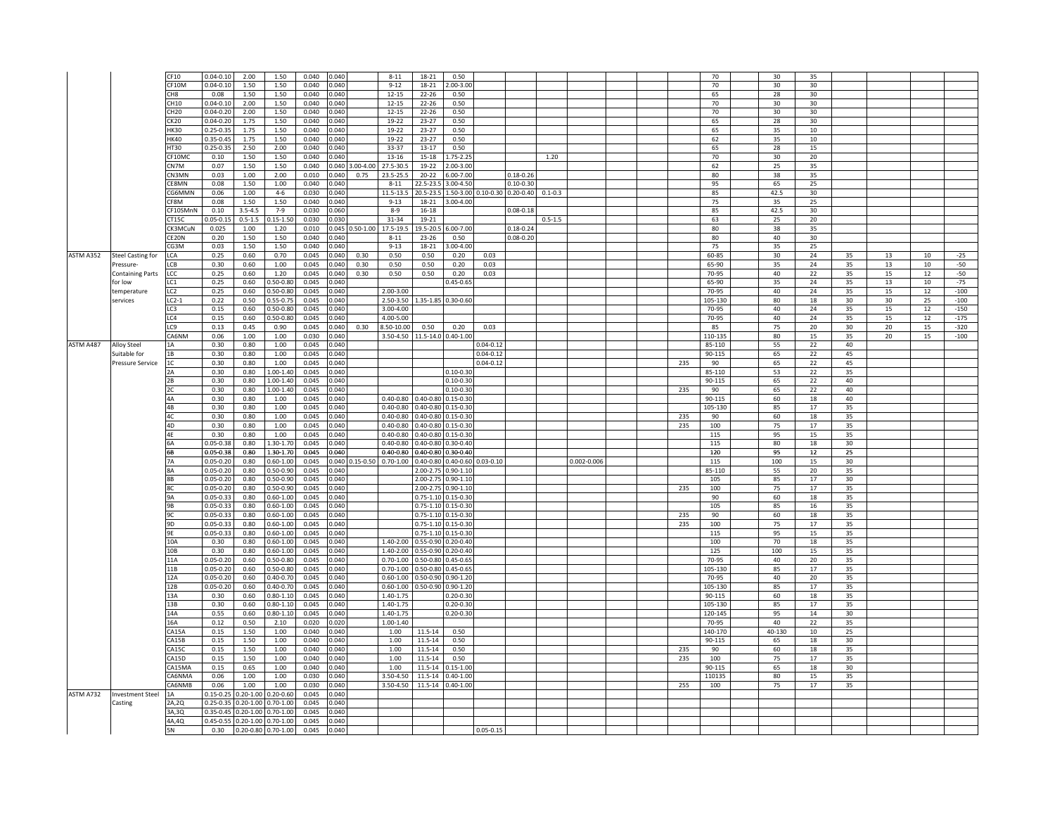|           |                          | CF10            | $0.04 - 0.10$                 | 2.00                          | 1.50                | 0.040          | 0.040          | $8 - 11$                           | 18-21                         | 0.50                          |               |                                         |             |                 |  |     | 70      | 30     | 35 |                 |                 |    |        |
|-----------|--------------------------|-----------------|-------------------------------|-------------------------------|---------------------|----------------|----------------|------------------------------------|-------------------------------|-------------------------------|---------------|-----------------------------------------|-------------|-----------------|--|-----|---------|--------|----|-----------------|-----------------|----|--------|
|           |                          | CF10M           | $0.04 - 0.10$                 | 1.50                          | 1.50                | 0.040          | 0.040          | $9 - 12$                           | 18-21                         | $.00 - 3.00$                  |               |                                         |             |                 |  |     | 70      | 30     | 30 |                 |                 |    |        |
|           |                          | CH <sub>8</sub> | 0.08                          | 1.50                          | 1.50                | 0.040          | 0.040          | $12 - 15$                          | $22 - 26$                     | 0.50                          |               |                                         |             |                 |  |     | 65      | 28     | 30 |                 |                 |    |        |
|           |                          | CH10            | $0.04 - 0.10$                 | 2.00                          | 1.50                | 0.040          | 0.040          | $12 - 15$                          | $22 - 26$                     | 0.50                          |               |                                         |             |                 |  |     | 70      | 30     | 30 |                 |                 |    |        |
|           |                          |                 |                               |                               |                     |                |                |                                    |                               |                               |               |                                         |             |                 |  |     |         |        |    |                 |                 |    |        |
|           |                          | CH20            | $0.04 - 0.20$                 | 2.00                          | 1.50                | 0.040          | 0.040          | $12 - 15$                          | $22 - 26$                     | 0.50                          |               |                                         |             |                 |  |     | 70      | 30     | 30 |                 |                 |    |        |
|           |                          | CK20            | $0.04 - 0.20$                 | 1.75                          | 1.50                | 0.040          | 0.040          | 19-22                              | 23-27                         | 0.50                          |               |                                         |             |                 |  |     | 65      | 28     | 30 |                 |                 |    |        |
|           |                          | <b>HK30</b>     | $0.25 - 0.35$                 | 1.75                          | 1.50                | 0.040          | 0.040          | 19-22                              | $23 - 27$                     | 0.50                          |               |                                         |             |                 |  |     | 65      | 35     | 10 |                 |                 |    |        |
|           |                          | <b>HK40</b>     | $0.35 - 0.45$                 | 1.75                          | 1.50                | 0.040          | 0.040          | 19-22                              | $23 - 27$                     | 0.50                          |               |                                         |             |                 |  |     | 62      | 35     | 10 |                 |                 |    |        |
|           |                          |                 |                               |                               |                     |                |                |                                    |                               |                               |               |                                         |             |                 |  |     |         |        |    |                 |                 |    |        |
|           |                          | HT30            | $0.25 - 0.35$                 | 2.50                          | 2.00                | 0.040          | 0.040          | 33-37                              | $13 - 17$                     | 0.50                          |               |                                         |             |                 |  |     | 65      | 28     | 15 |                 |                 |    |        |
|           |                          | CF10MC          | 0.10                          | 1.50                          | 1.50                | 0.040          | 0.040          | 13-16                              | 15-18                         | $.75 - 2.25$                  |               |                                         | 1.20        |                 |  |     | 70      | 30     | 20 |                 |                 |    |        |
|           |                          | CN7M            | 0.07                          | 1.50                          | 1.50                | 0.040          |                | 0.040 3.00-4.00<br>27.5-30.5       | 19-22                         | 2.00-3.00                     |               |                                         |             |                 |  |     | 62      | 25     | 35 |                 |                 |    |        |
|           |                          | CN3MN           | 0.03                          | 1.00                          | 2.00                | 0.010          | 0.040          | 0.75<br>23.5-25.5                  | $20 - 22$                     | 6.00-7.00                     |               | $0.18 - 0.26$                           |             |                 |  |     | 80      | 38     | 35 |                 |                 |    |        |
|           |                          |                 |                               |                               |                     |                |                |                                    |                               |                               |               |                                         |             |                 |  |     |         |        |    |                 |                 |    |        |
|           |                          | CE8MN           | 0.08                          | 1.50                          | 1.00                | 0.040          | 0.040          | $8 - 11$                           | 22.5-23.5                     | 3.00-4.50                     |               | $0.10 - 0.30$                           |             |                 |  |     | 95      | 65     | 25 |                 |                 |    |        |
|           |                          | CG6MMN          | 0.06                          | 1.00                          | $4 - 6$             | 0.030          | 0.040          | 11.5-13.5                          |                               |                               |               | 20.5-23.5 1.50-3.00 0.10-0.30 0.20-0.40 | $0.1 - 0.3$ |                 |  |     | 85      | 42.5   | 30 |                 |                 |    |        |
|           |                          | CF8M            | 0.08                          | 1.50                          | 1.50                | 0.040          | 0.040          | $9 - 13$                           | 18-21                         | 3.00-4.00                     |               |                                         |             |                 |  |     | 75      | 35     | 25 |                 |                 |    |        |
|           |                          | CF10SMnN        | 0.10                          | $3.5 - 4.5$                   | $7 - 9$             | 0.030          | 0.060          | $8 - 9$                            | $16 - 18$                     |                               |               | $0.08 - 0.18$                           |             |                 |  |     | 85      | 42.5   | 30 |                 |                 |    |        |
|           |                          | CT15C           | $0.05 - 0.15$                 | $0.5 - 1.5$                   | $0.15 - 1.50$       | 0.030          | 0.030          | 31-34                              | 19-21                         |                               |               |                                         | $0.5 - 1.5$ |                 |  |     | 63      | 25     | 20 |                 |                 |    |        |
|           |                          |                 |                               |                               |                     |                |                |                                    |                               |                               |               |                                         |             |                 |  |     |         |        |    |                 |                 |    |        |
|           |                          | CK3MCuN         | 0.025                         | 1.00                          | 1.20                | 0.010          |                | $0.045$ 0.50-1.00<br>17.5-19.5     | 19.5-20.5                     | 6.00-7.00                     |               | $0.18 - 0.24$                           |             |                 |  |     | 80      | 38     | 35 |                 |                 |    |        |
|           |                          | CE20N           | 0.20                          | 1.50                          | 1.50                | 0.040          | 0.040          | $8 - 11$                           | $23 - 26$                     | 0.50                          |               | $0.08 - 0.20$                           |             |                 |  |     | 80      | 40     | 30 |                 |                 |    |        |
|           |                          | CG3M            | 0.03                          | 1.50                          | 1.50                | 0.040          | 0.040          | $9 - 13$                           | 18-21                         | 3.00-4.00                     |               |                                         |             |                 |  |     | 75      | 35     | 25 |                 |                 |    |        |
| ASTM A352 | <b>Steel Casting for</b> | LCA             | 0.25                          | 0.60                          | 0.70                | 0.045          | 0.040          | 0.30<br>0.50                       | 0.50                          | 0.20                          | 0.03          |                                         |             |                 |  |     | 60-85   | 30     | 24 | 35              | 13              | 10 | $-25$  |
|           |                          |                 |                               |                               |                     |                |                |                                    |                               |                               |               |                                         |             |                 |  |     |         |        |    |                 |                 |    |        |
|           | Pressure-                | LCB             | 0.30                          | 0.60                          | 1.00                | 0.045          | 0.040          | 0.30<br>0.50                       | 0.50                          | 0.20                          | 0.03          |                                         |             |                 |  |     | 65-90   | 35     | 24 | 35              | 13              | 10 | $-50$  |
|           | <b>Containing Parts</b>  | LCC             | 0.25                          | 0.60                          | 1.20                | 0.045          | 0.040          | 0.50<br>0.30                       | 0.50                          | 0.20                          | 0.03          |                                         |             |                 |  |     | 70-95   | 40     | 22 | 35              | 15              | 12 | $-50$  |
|           | for Iow                  | LC1             | 0.25                          | 0.60                          | 0.50-0.80           | 0.045          | 0.040          |                                    |                               | $0.45 - 0.65$                 |               |                                         |             |                 |  |     | 65-90   | 35     | 24 | 35              | $13\,$          | 10 | $-75$  |
|           | temperature              | LC <sub>2</sub> | 0.25                          | 0.60                          | 0.50-0.80           | 0.045          | 0.040          | 2.00-3.00                          |                               |                               |               |                                         |             |                 |  |     | 70-95   | 40     | 24 | 35              | 15              | 12 | $-100$ |
|           |                          |                 |                               |                               |                     |                |                |                                    |                               |                               |               |                                         |             |                 |  |     |         |        |    |                 |                 |    |        |
|           | services                 | $LC2-1$         | 0.22                          | 0.50                          | 0.55-0.75           | 0.045          | 0.040          | 2.50-3.50                          |                               | 1.35-1.85 0.30-0.60           |               |                                         |             |                 |  |     | 105-130 | 80     | 18 | 30              | 30 <sub>o</sub> | 25 | $-100$ |
|           |                          | LC3             | 0.15                          | 0.60                          | 0.50-0.80           | 0.045          | 0.040          | 3.00-4.00                          |                               |                               |               |                                         |             |                 |  |     | 70-95   | 40     | 24 | 35              | 15              | 12 | $-150$ |
|           |                          | LC4             | 0.15                          | 0.60                          | $0.50 - 0.80$       | 0.045          | 0.040          | 4.00-5.00                          |                               |                               |               |                                         |             |                 |  |     | 70-95   | 40     | 24 | 35              | 15              | 12 | $-175$ |
|           |                          | LC9             | 0.13                          | 0.45                          | 0.90                | 0.045          | 0.040          | 0.30<br>8.50-10.00                 | 0.50                          | 0.20                          | 0.03          |                                         |             |                 |  |     | 85      | 75     | 20 | 30              | 20              | 15 | $-320$ |
|           |                          | CA6NM           |                               |                               |                     |                |                |                                    |                               |                               |               |                                         |             |                 |  |     |         | 80     |    |                 |                 | 15 |        |
|           |                          |                 | 0.06                          | 1.00                          | 1.00                | 0.030          | 0.040          |                                    | 3.50-4.50 11.5-14.0 0.40-1.00 |                               |               |                                         |             |                 |  |     | 110-135 |        | 15 | 35              | 20              |    | $-100$ |
| ASTM A487 | Alloy Steel              | 1Α              | 0.30                          | 0.80                          | 1.00                | 0.045          | 0.040          |                                    |                               |                               | $0.04 - 0.12$ |                                         |             |                 |  |     | 85-110  | 55     | 22 | 40              |                 |    |        |
|           | Suitable for             | 1B              | 0.30                          | 0.80                          | 1.00                | 0.045          | 0.040          |                                    |                               |                               | $0.04 - 0.12$ |                                         |             |                 |  |     | 90-115  | 65     | 22 | 45              |                 |    |        |
|           | Pressure Service         | $1\mathrm{C}$   | 0.30                          | 0.80                          | 1.00                | 0.045          | 0.040          |                                    |                               |                               | $0.04 - 0.12$ |                                         |             |                 |  | 235 | 90      | 65     | 22 | 45              |                 |    |        |
|           |                          | 2A              | 0.30                          | 0.80                          | 1.00-1.40           | 0.045          | 0.040          |                                    |                               | $0.10 - 0.30$                 |               |                                         |             |                 |  |     | 85-110  | 53     | 22 | 35              |                 |    |        |
|           |                          |                 |                               |                               |                     |                |                |                                    |                               |                               |               |                                         |             |                 |  |     |         |        |    |                 |                 |    |        |
|           |                          | 2B              | 0.30                          | 0.80                          | 1.00-1.40           | 0.045          | 0.040          |                                    |                               | $0.10 - 0.30$                 |               |                                         |             |                 |  |     | 90-115  | 65     | 22 | 40              |                 |    |        |
|           |                          | 2C              | 0.30                          | 0.80                          | 1.00-1.40           | 0.045          | 0.040          |                                    |                               | $0.10 - 0.30$                 |               |                                         |             |                 |  | 235 | 90      | 65     | 22 | 40              |                 |    |        |
|           |                          | 4A              | 0.30                          | 0.80                          | 1.00                | 0.045          | 0.040          | $0.40 - 0.80$                      |                               | 0.40-0.80 0.15-0.30           |               |                                         |             |                 |  |     | 90-115  | 60     | 18 | 40              |                 |    |        |
|           |                          | 4B              | 0.30                          | 0.80                          | 1.00                | 0.045          | 0.040          | $0.40 - 0.80$                      |                               | 0.40-0.80 0.15-0.30           |               |                                         |             |                 |  |     | 105-130 | 85     | 17 | 35              |                 |    |        |
|           |                          |                 |                               |                               |                     |                |                |                                    |                               |                               |               |                                         |             |                 |  |     |         |        |    |                 |                 |    |        |
|           |                          | 4C              | 0.30                          | 0.80                          | 1.00                | 0.045          | 0.040          | $0.40 - 0.80$                      |                               | 0.40-0.80 0.15-0.30           |               |                                         |             |                 |  | 235 | 90      | 60     | 18 | 35              |                 |    |        |
|           |                          | 4D              | 0.30                          | 0.80                          | 1.00                | 0.045          | 0.040          | $0.40 - 0.80$                      |                               | 0.40-0.80 0.15-0.30           |               |                                         |             |                 |  | 235 | 100     | 75     | 17 | 35              |                 |    |        |
|           |                          | 4E              | 0.30                          | 0.80                          | 1.00                | 0.045          | 0.040          | $0.40 - 0.80$                      |                               | 0.40-0.80 0.15-0.30           |               |                                         |             |                 |  |     | 115     | 95     | 15 | 35              |                 |    |        |
|           |                          | 6A              | $0.05 - 0.38$                 | 0.80                          | 1.30-1.70           | 0.045          | 0.040          | $0.40 - 0.80$                      |                               | 0.40-0.80 0.30-0.40           |               |                                         |             |                 |  |     | 115     | 80     | 18 | 30              |                 |    |        |
|           |                          |                 |                               |                               |                     |                |                |                                    |                               |                               |               |                                         |             |                 |  |     |         |        |    |                 |                 |    |        |
|           |                          | 6B              | $0.05 - 0.38$                 | 0.80                          | 1.30-1.70           | 0.045          | 0.040          | $0.40 - 0.80$                      |                               | 0.40-0.80 0.30-0.40           |               |                                         |             |                 |  |     | 120     | 95     | 12 | 25              |                 |    |        |
|           |                          | <b>7A</b>       | $0.05 - 0.20$                 | 0.80                          | $0.60 - 1.00$       | 0.045          |                | $0.040$ 0.15-0.50<br>$0.70 - 1.00$ |                               | 0.40-0.80 0.40-0.60 0.03-0.10 |               |                                         |             | $0.002 - 0.006$ |  |     | 115     | 100    | 15 | 30              |                 |    |        |
|           |                          | 8A              | $0.05 - 0.20$                 | 0.80                          | 0.50-0.90           | 0.045          | 0.040          |                                    |                               | 2.00-2.75 0.90-1.10           |               |                                         |             |                 |  |     | 85-110  | 55     | 20 | 35              |                 |    |        |
|           |                          | 8B              | $0.05 - 0.20$                 | 0.80                          | 0.50-0.90           | 0.045          | 0.040          |                                    |                               | 2.00-2.75 0.90-1.10           |               |                                         |             |                 |  |     | 105     | 85     | 17 | 30 <sub>o</sub> |                 |    |        |
|           |                          |                 |                               |                               |                     |                |                |                                    |                               |                               |               |                                         |             |                 |  |     |         |        |    |                 |                 |    |        |
|           |                          | 8C              | $0.05 - 0.20$                 | 0.80                          | $0.50 - 0.90$       | 0.045          | 0.040          |                                    |                               | 2.00-2.75 0.90-1.10           |               |                                         |             |                 |  | 235 | 100     | 75     | 17 | 35              |                 |    |        |
|           |                          | <b>9A</b>       | $0.05 - 0.33$                 | 0.80                          | $0.60 - 1.00$       | 0.045          | 0.040          |                                    |                               | $0.75 - 1.10$ 0.15-0.30       |               |                                         |             |                 |  |     | 90      | 60     | 18 | 35              |                 |    |        |
|           |                          | 9B              | $0.05 - 0.33$                 | 0.80                          | $0.60 - 1.00$       | 0.045          | 0.040          |                                    |                               | 0.75-1.10 0.15-0.30           |               |                                         |             |                 |  |     | 105     | 85     | 16 | 35              |                 |    |        |
|           |                          | 9C              | $0.05 - 0.33$                 | 0.80                          | $0.60 - 1.00$       | 0.045          | 0.040          |                                    |                               | 0.75-1.10 0.15-0.30           |               |                                         |             |                 |  | 235 | 90      | 60     | 18 | 35              |                 |    |        |
|           |                          | 9D              |                               |                               |                     |                |                |                                    |                               |                               |               |                                         |             |                 |  |     |         |        |    |                 |                 |    |        |
|           |                          |                 | $0.05 - 0.33$                 | 0.80                          | $0.60 - 1.00$       | 0.045          | 0.040          |                                    |                               | 0.75-1.10 0.15-0.30           |               |                                         |             |                 |  | 235 | 100     | 75     | 17 | 35              |                 |    |        |
|           |                          | 9F              | $0.05 - 0.33$                 | 0.80                          | $0.60 - 1.00$       | 0.045          | 0.040          |                                    |                               | 0.75-1.10 0.15-0.30           |               |                                         |             |                 |  |     | 115     | 95     | 15 | 35              |                 |    |        |
|           |                          | 10A             | 0.30                          | 0.80                          | $0.60 - 1.00$       | 0.045          | 0.040          | 1.40-2.00                          |                               | 0.55-0.90 0.20-0.40           |               |                                         |             |                 |  |     | 100     | 70     | 18 | 35              |                 |    |        |
|           |                          | 10B             | 0.30                          | 0.80                          | $0.60 - 1.00$       | 0.045          | 0.040          | 1.40-2.00                          |                               | 0.55-0.90 0.20-0.40           |               |                                         |             |                 |  |     | 125     | 100    | 15 | 35              |                 |    |        |
|           |                          | 11A             | $0.05 - 0.20$                 | 0.60                          | $0.50 - 0.80$       | 0.045          | 0.040          | $0.70 - 1.00$                      |                               | 0.50-0.80 0.45-0.65           |               |                                         |             |                 |  |     | 70-95   | 40     | 20 | 35              |                 |    |        |
|           |                          |                 |                               |                               |                     |                |                |                                    |                               |                               |               |                                         |             |                 |  |     |         |        |    |                 |                 |    |        |
|           |                          | 11B             | $0.05 - 0.20$                 | 0.60                          | $0.50 - 0.80$       | 0.045          | 0.040          | $0.70 - 1.00$                      |                               | 0.50-0.80 0.45-0.65           |               |                                         |             |                 |  |     | 105-130 | 85     | 17 | 35              |                 |    |        |
|           |                          | 12A             | $0.05 - 0.20$                 | 0.60                          | $0.40 - 0.70$       | 0.045          | 0.040          | $0.60 - 1.00$                      |                               | 0.50-0.90 0.90-1.20           |               |                                         |             |                 |  |     | 70-95   | 40     | 20 | 35              |                 |    |        |
|           |                          | 12B             | $0.05 - 0.20$                 | 0.60                          | $0.40 - 0.70$       | 0.045          | 0.040          | $0.60 - 1.00$                      |                               | 0.50-0.90 0.90-1.20           |               |                                         |             |                 |  |     | 105-130 | 85     | 17 | 35              |                 |    |        |
|           |                          | 13A             | 0.30                          | 0.60                          | $0.80 - 1.10$       | 0.045          | 0.040          | 1.40-1.75                          |                               | $0.20 - 0.30$                 |               |                                         |             |                 |  |     | 90-115  | 60     | 18 | 35              |                 |    |        |
|           |                          |                 |                               |                               |                     |                |                |                                    |                               |                               |               |                                         |             |                 |  |     |         |        |    |                 |                 |    |        |
|           |                          | 13B             | 0.30                          | 0.60                          | $0.80 - 1.10$       | 0.045          | 0.040          | 1.40-1.75                          |                               | $0.20 - 0.30$                 |               |                                         |             |                 |  |     | 105-130 | 85     | 17 | 35              |                 |    |        |
|           |                          | 14A             | 0.55                          | 0.60                          | $0.80 - 1.10$       | 0.045          | 0.040          | 1.40-1.75                          |                               | $0.20 - 0.30$                 |               |                                         |             |                 |  |     | 120-145 | 95     | 14 | 30 <sup>°</sup> |                 |    |        |
|           |                          | 16A             | 0.12                          | 0.50                          | 2.10                | 0.020          | 0.020          | $1.00 - 1.40$                      |                               |                               |               |                                         |             |                 |  |     | 70-95   | 40     | 22 | 35              |                 |    |        |
|           |                          | CA15A           | 0.15                          | 1.50                          | 1.00                | 0.040          | 0.040          | 1.00                               | 11.5-14                       | 0.50                          |               |                                         |             |                 |  |     | 140-170 | 40-130 | 10 | 25              |                 |    |        |
|           |                          | CA15B           | 0.15                          | 1.50                          | 1.00                | 0.040          | 0.040          | 1.00                               | 11.5-14                       | 0.50                          |               |                                         |             |                 |  |     | 90-115  | 65     | 18 | 30              |                 |    |        |
|           |                          |                 |                               |                               |                     |                |                |                                    |                               |                               |               |                                         |             |                 |  |     |         |        |    |                 |                 |    |        |
|           |                          | CA15C           | 0.15                          | 1.50                          | 1.00                | 0.040          | 0.040          | 1.00                               | 11.5-14                       | 0.50                          |               |                                         |             |                 |  | 235 | 90      | 60     | 18 | 35              |                 |    |        |
|           |                          | CA15D           | 0.15                          | 1.50                          | 1.00                | 0.040          | 0.040          | 1.00                               | 11.5-14                       | 0.50                          |               |                                         |             |                 |  | 235 | 100     | 75     | 17 | 35              |                 |    |        |
|           |                          | CA15MA          | 0.15                          | 0.65                          | 1.00                | 0.040          | 0.040          | 1.00                               | 11.5-14                       | $0.15 - 1.00$                 |               |                                         |             |                 |  |     | 90-115  | 65     | 18 | 30              |                 |    |        |
|           |                          | CA6NMA          | 0.06                          | 1.00                          | 1.00                | 0.030          | 0.040          | 3.50-4.50                          |                               | 11.5-14 0.40-1.00             |               |                                         |             |                 |  |     | 110135  | 80     | 15 | 35              |                 |    |        |
|           |                          |                 |                               |                               |                     |                |                | 3.50-4.50                          |                               |                               |               |                                         |             |                 |  |     |         |        |    |                 |                 |    |        |
|           |                          | CA6NMB          | 0.06                          | 1.00                          | 1.00                | 0.030          | 0.040          |                                    |                               | 11.5-14 0.40-1.00             |               |                                         |             |                 |  | 255 | 100     | 75     | 17 | 35              |                 |    |        |
| ASTM A732 | <b>Investment Steel</b>  | 1A              | $0.15 - 0.25$                 | $0.20 - 1.00$                 | $0.20 - 0.60$       | 0.045          | 0.040          |                                    |                               |                               |               |                                         |             |                 |  |     |         |        |    |                 |                 |    |        |
|           | Casting                  | 2A,2Q           |                               | $0.25 - 0.35$ 0.20-1.00       | $0.70 - 1.00$       | 0.045          | 0.040          |                                    |                               |                               |               |                                         |             |                 |  |     |         |        |    |                 |                 |    |        |
|           |                          |                 |                               |                               |                     |                |                |                                    |                               |                               |               |                                         |             |                 |  |     |         |        |    |                 |                 |    |        |
|           |                          |                 |                               |                               |                     |                |                |                                    |                               |                               |               |                                         |             |                 |  |     |         |        |    |                 |                 |    |        |
|           |                          | 3A, 3Q          | 0.35-0.45 0.20-1.00 0.70-1.00 |                               |                     | 0.045          | 0.040          |                                    |                               |                               |               |                                         |             |                 |  |     |         |        |    |                 |                 |    |        |
|           |                          | 4A,4Q<br>5N     | 0.30                          | 0.45-0.55 0.20-1.00 0.70-1.00 | 0.20-0.80 0.70-1.00 | 0.045<br>0.045 | 0.040<br>0.040 |                                    |                               |                               | $0.05 - 0.15$ |                                         |             |                 |  |     |         |        |    |                 |                 |    |        |